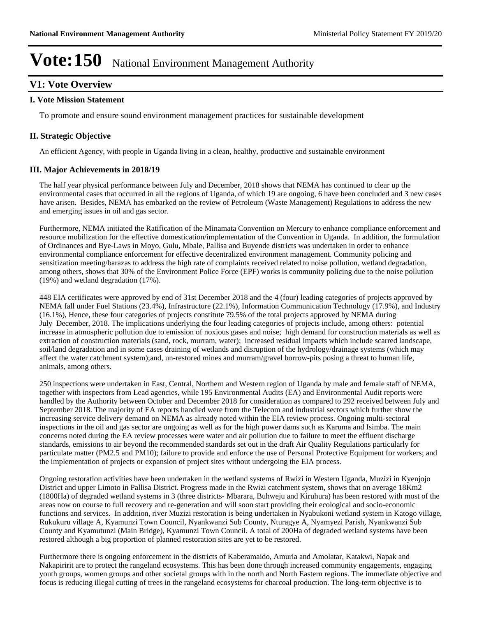# **V1: Vote Overview**

#### **I. Vote Mission Statement**

To promote and ensure sound environment management practices for sustainable development

### **II. Strategic Objective**

An efficient Agency, with people in Uganda living in a clean, healthy, productive and sustainable environment

#### **III. Major Achievements in 2018/19**

The half year physical performance between July and December, 2018 shows that NEMA has continued to clear up the environmental cases that occurred in all the regions of Uganda, of which 19 are ongoing, 6 have been concluded and 3 new cases have arisen. Besides, NEMA has embarked on the review of Petroleum (Waste Management) Regulations to address the new and emerging issues in oil and gas sector.

Furthermore, NEMA initiated the Ratification of the Minamata Convention on Mercury to enhance compliance enforcement and resource mobilization for the effective domestication/implementation of the Convention in Uganda. In addition, the formulation of Ordinances and Bye-Laws in Moyo, Gulu, Mbale, Pallisa and Buyende districts was undertaken in order to enhance environmental compliance enforcement for effective decentralized environment management. Community policing and sensitization meeting/barazas to address the high rate of complaints received related to noise pollution, wetland degradation, among others, shows that 30% of the Environment Police Force (EPF) works is community policing due to the noise pollution (19%) and wetland degradation (17%).

448 EIA certificates were approved by end of 31st December 2018 and the 4 (four) leading categories of projects approved by NEMA fall under Fuel Stations (23.4%), Infrastructure (22.1%), Information Communication Technology (17.9%), and Industry (16.1%), Hence, these four categories of projects constitute 79.5% of the total projects approved by NEMA during July-December, 2018. The implications underlying the four leading categories of projects include, among others: potential increase in atmospheric pollution due to emission of noxious gases and noise; high demand for construction materials as well as extraction of construction materials (sand, rock, murram, water); increased residual impacts which include scarred landscape, soil/land degradation and in some cases draining of wetlands and disruption of the hydrology/drainage systems (which may affect the water catchment system);and, un-restored mines and murram/gravel borrow-pits posing a threat to human life, animals, among others.

250 inspections were undertaken in East, Central, Northern and Western region of Uganda by male and female staff of NEMA, together with inspectors from Lead agencies, while 195 Environmental Audits (EA) and Environmental Audit reports were handled by the Authority between October and December 2018 for consideration as compared to 292 received between July and September 2018. The majority of EA reports handled were from the Telecom and industrial sectors which further show the increasing service delivery demand on NEMA as already noted within the EIA review process. Ongoing multi-sectoral inspections in the oil and gas sector are ongoing as well as for the high power dams such as Karuma and Isimba. The main concerns noted during the EA review processes were water and air pollution due to failure to meet the effluent discharge standards, emissions to air beyond the recommended standards set out in the draft Air Quality Regulations particularly for particulate matter (PM2.5 and PM10); failure to provide and enforce the use of Personal Protective Equipment for workers; and the implementation of projects or expansion of project sites without undergoing the EIA process.

Ongoing restoration activities have been undertaken in the wetland systems of Rwizi in Western Uganda, Muzizi in Kyenjojo District and upper Limoto in Pallisa District. Progress made in the Rwizi catchment system, shows that on average 18Km2 (1800Ha) of degraded wetland systems in 3 (three districts- Mbarara, Buhweju and Kiruhura) has been restored with most of the areas now on course to full recovery and re-generation and will soon start providing their ecological and socio-economic functions and services. In addition, river Muzizi restoration is being undertaken in Nyabukoni wetland system in Katogo village, Rukukuru village A, Kyamunzi Town Council, Nyankwanzi Sub County, Nturagye A, Nyamyezi Parish, Nyankwanzi Sub County and Kyamutunzi (Main Bridge), Kyamunzi Town Council. A total of 200Ha of degraded wetland systems have been restored although a big proportion of planned restoration sites are yet to be restored.

Furthermore there is ongoing enforcement in the districts of Kaberamaido, Amuria and Amolatar, Katakwi, Napak and Nakapiririt are to protect the rangeland ecosystems. This has been done through increased community engagements, engaging youth groups, women groups and other societal groups with in the north and North Eastern regions. The immediate objective and focus is reducing illegal cutting of trees in the rangeland ecosystems for charcoal production. The long-term objective is to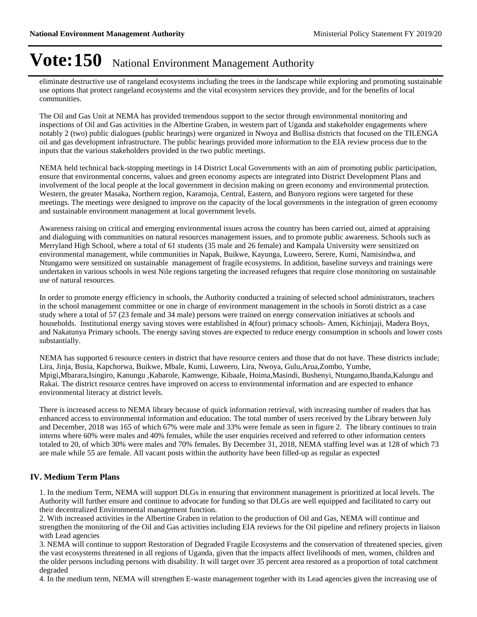eliminate destructive use of rangeland ecosystems including the trees in the landscape while exploring and promoting sustainable use options that protect rangeland ecosystems and the vital ecosystem services they provide, and for the benefits of local communities.

The Oil and Gas Unit at NEMA has provided tremendous support to the sector through environmental monitoring and inspections of Oil and Gas activities in the Albertine Graben, in western part of Uganda and stakeholder engagements where notably 2 (two) public dialogues (public hearings) were organized in Nwoya and Bullisa districts that focused on the TILENGA oil and gas development infrastructure. The public hearings provided more information to the EIA review process due to the inputs that the various stakeholders provided in the two public meetings.

NEMA held technical back-stopping meetings in 14 District Local Governments with an aim of promoting public participation, ensure that environmental concerns, values and green economy aspects are integrated into District Development Plans and involvement of the local people at the local government in decision making on green economy and environmental protection. Western, the greater Masaka, Northern region, Karamoja, Central, Eastern, and Bunyoro regions were targeted for these meetings. The meetings were designed to improve on the capacity of the local governments in the integration of green economy and sustainable environment management at local government levels.

Awareness raising on critical and emerging environmental issues across the country has been carried out, aimed at appraising and dialoguing with communities on natural resources management issues, and to promote public awareness. Schools such as Merryland High School, where a total of 61 students (35 male and 26 female) and Kampala University were sensitized on environmental management, while communities in Napak, Buikwe, Kayunga, Luweero, Serere, Kumi, Namisindwa, and Ntungamo were sensitized on sustainable management of fragile ecosystems. In addition, baseline surveys and trainings were undertaken in various schools in west Nile regions targeting the increased refugees that require close monitoring on sustainable use of natural resources.

In order to promote energy efficiency in schools, the Authority conducted a training of selected school administrators, teachers in the school management committee or one in charge of environment management in the schools in Soroti district as a case study where a total of 57 (23 female and 34 male) persons were trained on energy conservation initiatives at schools and households. Institutional energy saving stoves were established in 4(four) primacy schools- Amen, Kichinjaji, Madera Boys, and Nakatunya Primary schools. The energy saving stoves are expected to reduce energy consumption in schools and lower costs substantially.

NEMA has supported 6 resource centers in district that have resource centers and those that do not have. These districts include; Lira, Jinja, Busia, Kapchorwa, Buikwe, Mbale, Kumi, Luweero, Lira, Nwoya, Gulu,Arua,Zombo, Yumbe, Mpigi,Mbarara,Isingiro, Kanungu ,Kabarole, Kamwenge, Kibaale, Hoima,Masindi, Bushenyi, Ntungamo,Ibanda,Kalungu and Rakai. The district resource centres have improved on access to environmental information and are expected to enhance environmental literacy at district levels.

There is increased access to NEMA library because of quick information retrieval, with increasing number of readers that has enhanced access to environmental information and education. The total number of users received by the Library between July and December, 2018 was 165 of which 67% were male and 33% were female as seen in figure 2. The library continues to train interns where 60% were males and 40% females, while the user enquiries received and referred to other information centers totaled to 20, of which 30% were males and 70% females. By December 31, 2018, NEMA staffing level was at 128 of which 73 are male while 55 are female. All vacant posts within the authority have been filled-up as regular as expected

## **IV. Medium Term Plans**

1. In the medium Term, NEMA will support DLGs in ensuring that environment management is prioritized at local levels. The Authority will further ensure and continue to advocate for funding so that DLGs are well equipped and facilitated to carry out their decentralized Environmental management function.

2. With increased activities in the Albertine Graben in relation to the production of Oil and Gas, NEMA will continue and strengthen the monitoring of the Oil and Gas activities including EIA reviews for the Oil pipeline and refinery projects in liaison with Lead agencies

3. NEMA will continue to support Restoration of Degraded Fragile Ecosystems and the conservation of threatened species, given the vast ecosystems threatened in all regions of Uganda, given that the impacts affect livelihoods of men, women, children and the older persons including persons with disability. It will target over 35 percent area restored as a proportion of total catchment degraded

4. In the medium term, NEMA will strengthen E-waste management together with its Lead agencies given the increasing use of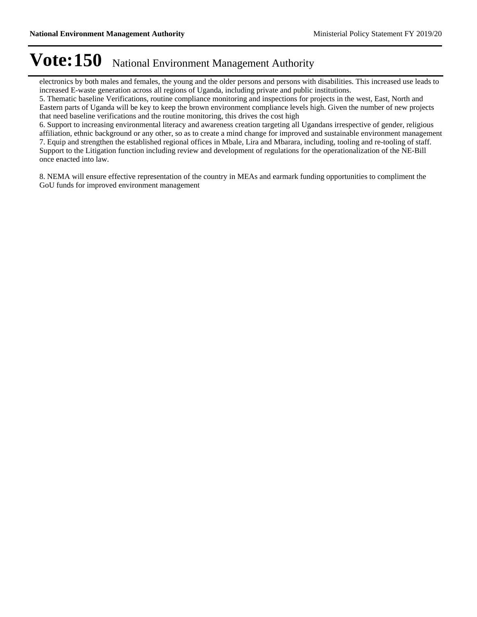electronics by both males and females, the young and the older persons and persons with disabilities. This increased use leads to increased E-waste generation across all regions of Uganda, including private and public institutions.

5. Thematic baseline Verifications, routine compliance monitoring and inspections for projects in the west, East, North and Eastern parts of Uganda will be key to keep the brown environment compliance levels high. Given the number of new projects that need baseline verifications and the routine monitoring, this drives the cost high

6. Support to increasing environmental literacy and awareness creation targeting all Ugandans irrespective of gender, religious affiliation, ethnic background or any other, so as to create a mind change for improved and sustainable environment management 7. Equip and strengthen the established regional offices in Mbale, Lira and Mbarara, including, tooling and re-tooling of staff. Support to the Litigation function including review and development of regulations for the operationalization of the NE-Bill once enacted into law.

8. NEMA will ensure effective representation of the country in MEAs and earmark funding opportunities to compliment the GoU funds for improved environment management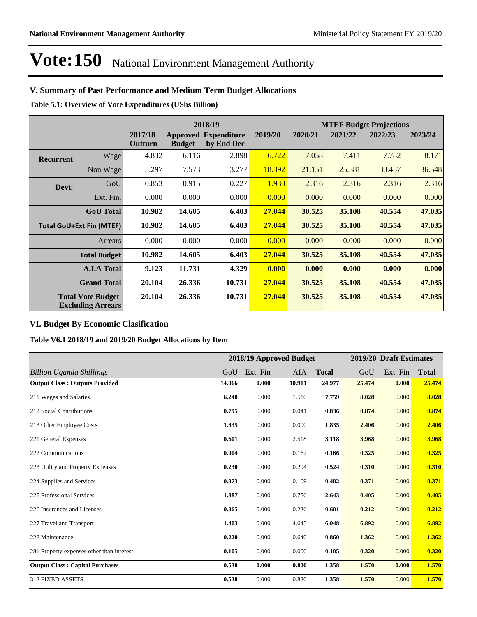# **V. Summary of Past Performance and Medium Term Budget Allocations**

**Table 5.1: Overview of Vote Expenditures (UShs Billion)**

| 2018/19          |                                                      |                    | <b>MTEF Budget Projections</b> |                                           |         |         |         |         |         |
|------------------|------------------------------------------------------|--------------------|--------------------------------|-------------------------------------------|---------|---------|---------|---------|---------|
|                  |                                                      | 2017/18<br>Outturn | <b>Budget</b>                  | <b>Approved Expenditure</b><br>by End Dec | 2019/20 | 2020/21 | 2021/22 | 2022/23 | 2023/24 |
| <b>Recurrent</b> | Wage                                                 | 4.832              | 6.116                          | 2.898                                     | 6.722   | 7.058   | 7.411   | 7.782   | 8.171   |
|                  | Non Wage                                             | 5.297              | 7.573                          | 3.277                                     | 18.392  | 21.151  | 25.381  | 30.457  | 36.548  |
| Devt.            | GoU                                                  | 0.853              | 0.915                          | 0.227                                     | 1.930   | 2.316   | 2.316   | 2.316   | 2.316   |
|                  | Ext. Fin.                                            | 0.000              | 0.000                          | 0.000                                     | 0.000   | 0.000   | 0.000   | 0.000   | 0.000   |
|                  | <b>GoU</b> Total                                     | 10.982             | 14.605                         | 6.403                                     | 27,044  | 30.525  | 35.108  | 40.554  | 47.035  |
|                  | <b>Total GoU+Ext Fin (MTEF)</b>                      | 10.982             | 14.605                         | 6.403                                     | 27,044  | 30.525  | 35.108  | 40.554  | 47.035  |
|                  | Arrears                                              | 0.000              | 0.000                          | 0.000                                     | 0.000   | 0.000   | 0.000   | 0.000   | 0.000   |
|                  | <b>Total Budget</b>                                  | 10.982             | 14.605                         | 6.403                                     | 27.044  | 30.525  | 35.108  | 40.554  | 47.035  |
|                  | <b>A.I.A Total</b>                                   | 9.123              | 11.731                         | 4.329                                     | 0.000   | 0.000   | 0.000   | 0.000   | 0.000   |
|                  | <b>Grand Total</b>                                   | 20.104             | 26.336                         | 10.731                                    | 27.044  | 30.525  | 35.108  | 40.554  | 47.035  |
|                  | <b>Total Vote Budget</b><br><b>Excluding Arrears</b> | 20.104             | 26.336                         | 10.731                                    | 27.044  | 30.525  | 35.108  | 40.554  | 47.035  |

## **VI. Budget By Economic Clasification**

**Table V6.1 2018/19 and 2019/20 Budget Allocations by Item**

|                                           |        |          | 2018/19 Approved Budget |              |        | 2019/20 Draft Estimates |              |
|-------------------------------------------|--------|----------|-------------------------|--------------|--------|-------------------------|--------------|
| <b>Billion Uganda Shillings</b>           | GoU    | Ext. Fin | AIA                     | <b>Total</b> | GoU    | Ext. Fin                | <b>Total</b> |
| <b>Output Class: Outputs Provided</b>     | 14.066 | 0.000    | 10.911                  | 24.977       | 25,474 | 0.000                   | 25,474       |
| 211 Wages and Salaries                    | 6.248  | 0.000    | 1.510                   | 7.759        | 8.028  | 0.000                   | 8.028        |
| 212 Social Contributions                  | 0.795  | 0.000    | 0.041                   | 0.836        | 0.874  | 0.000                   | 0.874        |
| 213 Other Employee Costs                  | 1.835  | 0.000    | 0.000                   | 1.835        | 2.406  | 0.000                   | 2.406        |
| 221 General Expenses                      | 0.601  | 0.000    | 2.518                   | 3.118        | 3.968  | 0.000                   | 3.968        |
| 222 Communications                        | 0.004  | 0.000    | 0.162                   | 0.166        | 0.325  | 0.000                   | 0.325        |
| 223 Utility and Property Expenses         | 0.230  | 0.000    | 0.294                   | 0.524        | 0.310  | 0.000                   | 0.310        |
| 224 Supplies and Services                 | 0.373  | 0.000    | 0.109                   | 0.482        | 0.371  | 0.000                   | 0.371        |
| 225 Professional Services                 | 1.887  | 0.000    | 0.756                   | 2.643        | 0.405  | 0.000                   | 0.405        |
| 226 Insurances and Licenses               | 0.365  | 0.000    | 0.236                   | 0.601        | 0.212  | 0.000                   | 0.212        |
| 227 Travel and Transport                  | 1.403  | 0.000    | 4.645                   | 6.048        | 6.892  | 0.000                   | 6.892        |
| 228 Maintenance                           | 0.220  | 0.000    | 0.640                   | 0.860        | 1.362  | 0.000                   | 1.362        |
| 281 Property expenses other than interest | 0.105  | 0.000    | 0.000                   | 0.105        | 0.320  | 0.000                   | 0.320        |
| <b>Output Class: Capital Purchases</b>    | 0.538  | 0.000    | 0.820                   | 1.358        | 1.570  | 0.000                   | 1.570        |
| 312 FIXED ASSETS                          | 0.538  | 0.000    | 0.820                   | 1.358        | 1.570  | 0.000                   | 1.570        |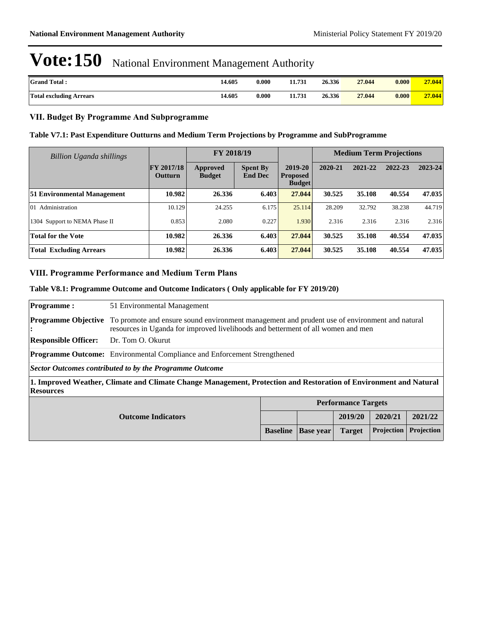| <b>Grand Total:</b>            | 14.605 | 0.000 | 11.731 | 26.336 | 27.044 | 0.000 | 27.044 |
|--------------------------------|--------|-------|--------|--------|--------|-------|--------|
| <b>Total excluding Arrears</b> | 14.605 | 0.000 | 11.731 | 26.336 | 27.044 | 0.000 | 27.044 |

## **VII. Budget By Programme And Subprogramme**

### **Table V7.1: Past Expenditure Outturns and Medium Term Projections by Programme and SubProgramme**

| Billion Uganda shillings       |                                     | FY 2018/19                       |                                   |                                             | <b>Medium Term Projections</b> |         |         |         |
|--------------------------------|-------------------------------------|----------------------------------|-----------------------------------|---------------------------------------------|--------------------------------|---------|---------|---------|
|                                | <b>FY 2017/18</b><br><b>Outturn</b> | <b>Approved</b><br><b>Budget</b> | <b>Spent By</b><br><b>End Dec</b> | 2019-20<br><b>Proposed</b><br><b>Budget</b> | 2020-21                        | 2021-22 | 2022-23 | 2023-24 |
| 51 Environmental Management    | 10.982                              | 26.336                           | 6.403                             | 27,044                                      | 30.525                         | 35.108  | 40.554  | 47.035  |
| Administration<br>101          | 10.129                              | 24.255                           | 6.175                             | 25.114                                      | 28.209                         | 32.792  | 38.238  | 44.719  |
| 1304 Support to NEMA Phase II  | 0.853                               | 2.080                            | 0.227                             | 1.930                                       | 2.316                          | 2.316   | 2.316   | 2.316   |
| <b>Total for the Vote</b>      | 10.982                              | 26.336                           | 6.403                             | 27.044                                      | 30.525                         | 35.108  | 40.554  | 47.035  |
| <b>Total Excluding Arrears</b> | 10.982                              | 26.336                           | 6.403                             | 27,044                                      | 30.525                         | 35.108  | 40.554  | 47.035  |

#### **VIII. Programme Performance and Medium Term Plans**

#### **Table V8.1: Programme Outcome and Outcome Indicators ( Only applicable for FY 2019/20)**

| <b>Programme:</b>                                                                                                                     | 51 Environmental Management                                                                                                                                                       |                 |                  |               |            |                   |  |  |
|---------------------------------------------------------------------------------------------------------------------------------------|-----------------------------------------------------------------------------------------------------------------------------------------------------------------------------------|-----------------|------------------|---------------|------------|-------------------|--|--|
| <b>Programme Objective</b>                                                                                                            | To promote and ensure sound environment management and prudent use of environment and natural<br>resources in Uganda for improved livelihoods and betterment of all women and men |                 |                  |               |            |                   |  |  |
| <b>Responsible Officer:</b>                                                                                                           | Dr. Tom O. Okurut                                                                                                                                                                 |                 |                  |               |            |                   |  |  |
|                                                                                                                                       | <b>Programme Outcome:</b> Environmental Compliance and Enforcement Strengthened                                                                                                   |                 |                  |               |            |                   |  |  |
|                                                                                                                                       | Sector Outcomes contributed to by the Programme Outcome                                                                                                                           |                 |                  |               |            |                   |  |  |
| 1. Improved Weather, Climate and Climate Change Management, Protection and Restoration of Environment and Natural<br><b>Resources</b> |                                                                                                                                                                                   |                 |                  |               |            |                   |  |  |
|                                                                                                                                       | <b>Performance Targets</b>                                                                                                                                                        |                 |                  |               |            |                   |  |  |
| <b>Outcome Indicators</b>                                                                                                             |                                                                                                                                                                                   |                 |                  | 2019/20       | 2020/21    | 2021/22           |  |  |
|                                                                                                                                       |                                                                                                                                                                                   | <b>Baseline</b> | <b>Base year</b> | <b>Target</b> | Projection | <b>Projection</b> |  |  |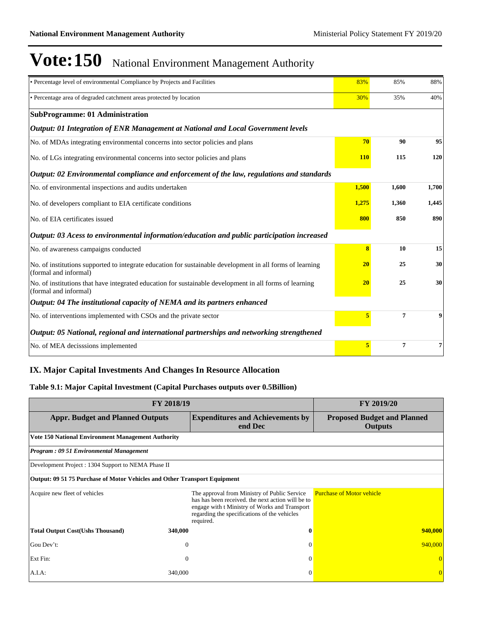| • Percentage level of environmental Compliance by Projects and Facilities                                                          | 83%                     | 85%   | 88%   |
|------------------------------------------------------------------------------------------------------------------------------------|-------------------------|-------|-------|
| • Percentage area of degraded catchment areas protected by location                                                                | 30%                     | 35%   | 40%   |
| <b>SubProgramme: 01 Administration</b>                                                                                             |                         |       |       |
| Output: 01 Integration of ENR Management at National and Local Government levels                                                   |                         |       |       |
| No. of MDAs integrating environmental concerns into sector policies and plans                                                      | 70                      | 90    | 95    |
| No. of LGs integrating environmental concerns into sector policies and plans                                                       | <b>110</b>              | 115   | 120   |
| Output: 02 Environmental compliance and enforcement of the law, regulations and standards                                          |                         |       |       |
| No. of environmental inspections and audits undertaken                                                                             | 1,500                   | 1,600 | 1,700 |
| No. of developers compliant to EIA certificate conditions                                                                          | 1,275                   | 1,360 | 1,445 |
| No. of EIA certificates issued                                                                                                     | 800                     | 850   | 890   |
| Output: 03 Acess to environmental information/education and public participation increased                                         |                         |       |       |
| No. of awareness campaigns conducted                                                                                               | $\overline{\mathbf{8}}$ | 10    | 15    |
| No. of institutions supported to integrate education for sustainable development in all forms of learning<br>(formal and informal) | 20                      | 25    | 30    |
| No. of institutions that have integrated education for sustainable development in all forms of learning<br>(formal and informal)   | 20                      | 25    | 30    |
| Output: 04 The institutional capacity of NEMA and its partners enhanced                                                            |                         |       |       |
| No. of interventions implemented with CSOs and the private sector                                                                  | 5                       | 7     | 9     |
| Output: 05 National, regional and international partnerships and networking strengthened                                           |                         |       |       |
| No. of MEA decisssions implemented                                                                                                 | 5                       | 7     | 7     |

# **IX. Major Capital Investments And Changes In Resource Allocation**

### **Table 9.1: Major Capital Investment (Capital Purchases outputs over 0.5Billion)**

| FY 2018/19                                                                                    | <b>FY 2019/20</b> |                                                                                                                                                                                                                 |                                                      |
|-----------------------------------------------------------------------------------------------|-------------------|-----------------------------------------------------------------------------------------------------------------------------------------------------------------------------------------------------------------|------------------------------------------------------|
| <b>Appr. Budget and Planned Outputs</b><br><b>Expenditures and Achievements by</b><br>end Dec |                   |                                                                                                                                                                                                                 | <b>Proposed Budget and Planned</b><br><b>Outputs</b> |
| Vote 150 National Environment Management Authority                                            |                   |                                                                                                                                                                                                                 |                                                      |
| Program: 09 51 Environmental Management                                                       |                   |                                                                                                                                                                                                                 |                                                      |
| Development Project : 1304 Support to NEMA Phase II                                           |                   |                                                                                                                                                                                                                 |                                                      |
| Output: 09 51 75 Purchase of Motor Vehicles and Other Transport Equipment                     |                   |                                                                                                                                                                                                                 |                                                      |
| Acquire new fleet of vehicles                                                                 |                   | The approval from Ministry of Public Service<br>has has been received, the next action will be to<br>engage with t Ministry of Works and Transport<br>regarding the specifications of the vehicles<br>required. | <b>Purchase of Motor vehicle</b>                     |
| <b>Total Output Cost(Ushs Thousand)</b>                                                       | 340,000           | 0                                                                                                                                                                                                               | 940,000                                              |
| Gou Dev't:                                                                                    | $\mathbf{0}$      | $\Omega$                                                                                                                                                                                                        | 940,000                                              |
| Ext Fin:                                                                                      | $\mathbf{0}$      | $\Omega$                                                                                                                                                                                                        |                                                      |
| $A.I.A$ :                                                                                     | 340,000           | $\Omega$                                                                                                                                                                                                        |                                                      |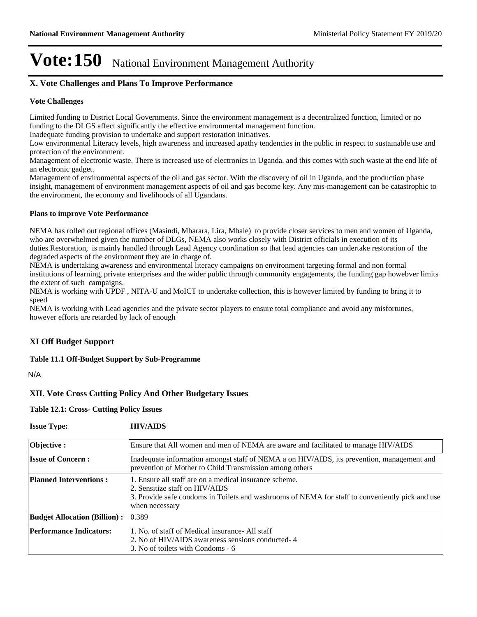### **X. Vote Challenges and Plans To Improve Performance**

#### **Vote Challenges**

Limited funding to District Local Governments. Since the environment management is a decentralized function, limited or no funding to the DLGS affect significantly the effective environmental management function.

Inadequate funding provision to undertake and support restoration initiatives.

Low environmental Literacy levels, high awareness and increased apathy tendencies in the public in respect to sustainable use and protection of the environment.

Management of electronic waste. There is increased use of electronics in Uganda, and this comes with such waste at the end life of an electronic gadget.

Management of environmental aspects of the oil and gas sector. With the discovery of oil in Uganda, and the production phase insight, management of environment management aspects of oil and gas become key. Any mis-management can be catastrophic to the environment, the economy and livelihoods of all Ugandans.

#### **Plans to improve Vote Performance**

NEMA has rolled out regional offices (Masindi, Mbarara, Lira, Mbale) to provide closer services to men and women of Uganda, who are overwhelmed given the number of DLGs, NEMA also works closely with District officials in execution of its duties.Restoration, is mainly handled through Lead Agency coordination so that lead agencies can undertake restoration of the degraded aspects of the environment they are in charge of.

NEMA is undertaking awareness and environmental literacy campaigns on environment targeting formal and non formal institutions of learning, private enterprises and the wider public through community engagements, the funding gap howebver limits the extent of such campaigns.

NEMA is working with UPDF , NITA-U and MoICT to undertake collection, this is however limited by funding to bring it to speed

NEMA is working with Lead agencies and the private sector players to ensure total compliance and avoid any misfortunes, however efforts are retarded by lack of enough

### **XI Off Budget Support**

#### **Table 11.1 Off-Budget Support by Sub-Programme**

N/A

#### **XII. Vote Cross Cutting Policy And Other Budgetary Issues**

**Table 12.1: Cross- Cutting Policy Issues**

| <b>Issue Type:</b>                  | <b>HIV/AIDS</b>                                                                                                                                                                                               |
|-------------------------------------|---------------------------------------------------------------------------------------------------------------------------------------------------------------------------------------------------------------|
| Objective:                          | Ensure that All women and men of NEMA are aware and facilitated to manage HIV/AIDS                                                                                                                            |
| <b>Issue of Concern:</b>            | Inadequate information amongst staff of NEMA a on HIV/AIDS, its prevention, management and<br>prevention of Mother to Child Transmission among others                                                         |
| <b>Planned Interventions:</b>       | 1. Ensure all staff are on a medical insurance scheme.<br>2. Sensitize staff on HIV/AIDS<br>3. Provide safe condoms in Toilets and washrooms of NEMA for staff to conveniently pick and use<br>when necessary |
| <b>Budget Allocation (Billion):</b> | 0.389                                                                                                                                                                                                         |
| Performance Indicators:             | 1. No. of staff of Medical insurance All staff<br>2. No of HIV/AIDS awareness sensions conducted 4<br>3. No of toilets with Condoms - 6                                                                       |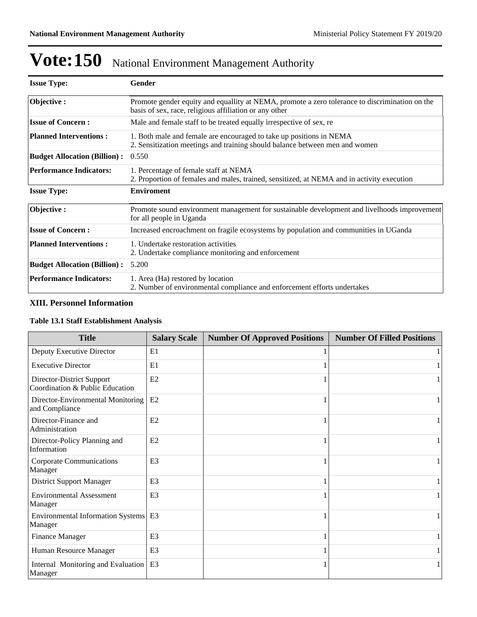| <b>Issue Type:</b>                  | Gender                                                                                                                                                   |
|-------------------------------------|----------------------------------------------------------------------------------------------------------------------------------------------------------|
| Objective:                          | Promote gender equity and equallity at NEMA, promote a zero tolerance to discrimination on the<br>basis of sex, race, religious affiliation or any other |
| <b>Issue of Concern:</b>            | Male and female staff to be treated equally irrespective of sex, re                                                                                      |
| <b>Planned Interventions:</b>       | 1. Both male and female are encouraged to take up positions in NEMA<br>2. Sensitization meetings and training should balance between men and women       |
| <b>Budget Allocation (Billion):</b> | 0.550                                                                                                                                                    |
| <b>Performance Indicators:</b>      | 1. Percentage of female staff at NEMA<br>2. Proportion of females and males, trained, sensitized, at NEMA and in activity execution                      |
| <b>Issue Type:</b>                  | <b>Enviroment</b>                                                                                                                                        |
| Objective:                          | Promote sound environment management for sustainable development and livelhoods improvement<br>for all people in Uganda                                  |
| <b>Issue of Concern:</b>            | Increased encroachment on fragile ecosystems by population and communities in UGanda                                                                     |
| <b>Planned Interventions:</b>       | 1. Undertake restoration activities<br>2. Undertake compliance monitoring and enforcement                                                                |
| <b>Budget Allocation (Billion):</b> | 5.200                                                                                                                                                    |
| <b>Performance Indicators:</b>      | 1. Area (Ha) restored by location<br>2. Number of environmental compliance and enforcement efforts undertakes                                            |

### **XIII. Personnel Information**

### **Table 13.1 Staff Establishment Analysis**

| <b>Title</b>                                                 | <b>Salary Scale</b> | <b>Number Of Approved Positions</b> | <b>Number Of Filled Positions</b> |
|--------------------------------------------------------------|---------------------|-------------------------------------|-----------------------------------|
| Deputy Executive Director                                    | E1                  |                                     |                                   |
| <b>Executive Director</b>                                    | E1                  |                                     |                                   |
| Director-District Support<br>Coordination & Public Education | E2                  |                                     |                                   |
| Director-Environmental Monitoring<br>and Compliance          | E2                  |                                     |                                   |
| Director-Finance and<br>Administration                       | E2                  |                                     |                                   |
| Director-Policy Planning and<br>Information                  | E2                  |                                     |                                   |
| Corporate Communications<br>Manager                          | E <sub>3</sub>      |                                     |                                   |
| <b>District Support Manager</b>                              | E <sub>3</sub>      |                                     |                                   |
| <b>Environmental Assessment</b><br>Manager                   | E <sub>3</sub>      |                                     | $1\vert$                          |
| Environmental Information Systems E3<br>Manager              |                     |                                     |                                   |
| <b>Finance Manager</b>                                       | E <sub>3</sub>      |                                     |                                   |
| Human Resource Manager                                       | E <sub>3</sub>      |                                     |                                   |
| Internal Monitoring and Evaluation<br>Manager                | E <sub>3</sub>      |                                     |                                   |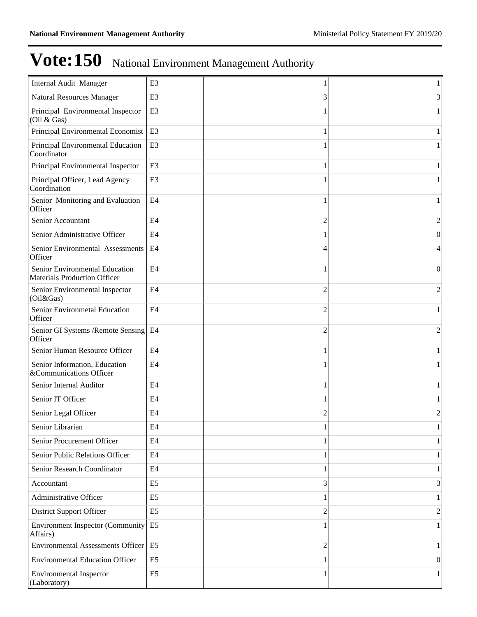| Internal Audit Manager                                                | E <sub>3</sub> |                |                  |
|-----------------------------------------------------------------------|----------------|----------------|------------------|
| Natural Resources Manager                                             | E <sub>3</sub> | 3              | 3                |
| Principal Environmental Inspector<br>(Oil & Gas)                      | E <sub>3</sub> |                |                  |
| Principal Environmental Economist                                     | E <sub>3</sub> |                | 1                |
| Principal Environmental Education<br>Coordinator                      | E <sub>3</sub> |                | 1                |
| Principal Environmental Inspector                                     | E <sub>3</sub> |                | 1                |
| Principal Officer, Lead Agency<br>Coordination                        | E <sub>3</sub> |                |                  |
| Senior Monitoring and Evaluation<br>Officer                           | E4             |                |                  |
| Senior Accountant                                                     | E <sub>4</sub> | 2              | 2                |
| Senior Administrative Officer                                         | E <sub>4</sub> |                | $\theta$         |
| Senior Environmental Assessments<br>Officer                           | E <sub>4</sub> |                | 4                |
| Senior Environmental Education<br><b>Materials Production Officer</b> | E4             |                | $\boldsymbol{0}$ |
| Senior Environmental Inspector<br>(Oil&Gas)                           | E <sub>4</sub> | 2              | $\overline{2}$   |
| Senior Environmetal Education<br>Officer                              | E4             | 2              | 1                |
| Senior GI Systems /Remote Sensing<br>Officer                          | E <sub>4</sub> | $\overline{c}$ | 2                |
| Senior Human Resource Officer                                         | E <sub>4</sub> |                |                  |
| Senior Information, Education<br>&Communications Officer              | E <sub>4</sub> |                |                  |
| Senior Internal Auditor                                               | E <sub>4</sub> | 1              | 1                |
| Senior IT Officer                                                     | E <sub>4</sub> |                |                  |
| Senior Legal Officer                                                  | E <sub>4</sub> | 2              | 2                |
| Senior Librarian                                                      | E <sub>4</sub> |                | 1                |
| Senior Procurement Officer                                            | E <sub>4</sub> |                |                  |
| Senior Public Relations Officer                                       | E <sub>4</sub> |                |                  |
| Senior Research Coordinator                                           | E <sub>4</sub> |                | 1                |
| Accountant                                                            | E <sub>5</sub> | 3              | 3                |
| Administrative Officer                                                | E <sub>5</sub> |                |                  |
| <b>District Support Officer</b>                                       | E <sub>5</sub> | 2              | 2                |
| <b>Environment Inspector (Community</b><br>Affairs)                   | E <sub>5</sub> |                | 1                |
| <b>Environmental Assessments Officer</b>                              | E <sub>5</sub> | 2              |                  |
| <b>Environmental Education Officer</b>                                | E <sub>5</sub> |                | 0                |
| <b>Environmental Inspector</b><br>(Laboratory)                        | E <sub>5</sub> |                |                  |